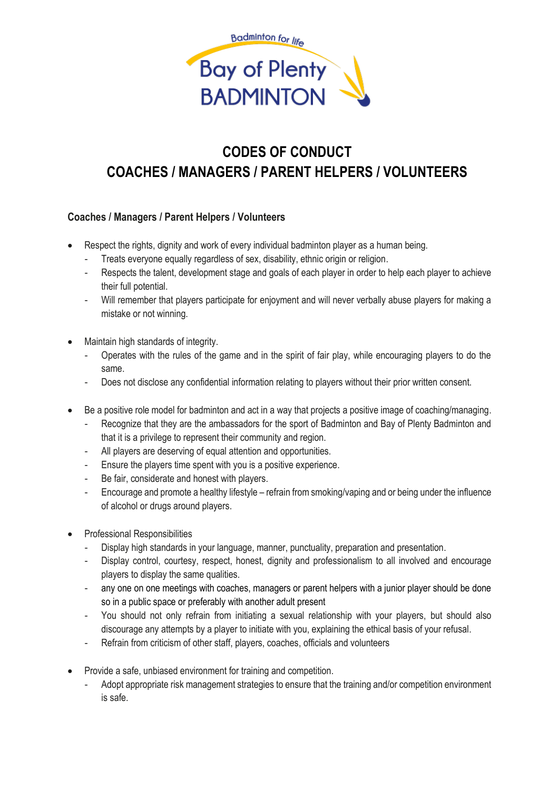

# **CODES OF CONDUCT COACHES / MANAGERS / PARENT HELPERS / VOLUNTEERS**

## **Coaches / Managers / Parent Helpers / Volunteers**

- Respect the rights, dignity and work of every individual badminton player as a human being.
	- Treats everyone equally regardless of sex, disability, ethnic origin or religion.
	- Respects the talent, development stage and goals of each player in order to help each player to achieve their full potential.
	- Will remember that players participate for enjoyment and will never verbally abuse players for making a mistake or not winning.
- Maintain high standards of integrity.
	- Operates with the rules of the game and in the spirit of fair play, while encouraging players to do the same.
	- Does not disclose any confidential information relating to players without their prior written consent.
- Be a positive role model for badminton and act in a way that projects a positive image of coaching/managing.
	- Recognize that they are the ambassadors for the sport of Badminton and Bay of Plenty Badminton and that it is a privilege to represent their community and region.
	- All players are deserving of equal attention and opportunities.
	- Ensure the players time spent with you is a positive experience.
	- Be fair, considerate and honest with players.
	- Encourage and promote a healthy lifestyle refrain from smoking/vaping and or being under the influence of alcohol or drugs around players.
- Professional Responsibilities
	- Display high standards in your language, manner, punctuality, preparation and presentation.
	- Display control, courtesy, respect, honest, dignity and professionalism to all involved and encourage players to display the same qualities.
	- any one on one meetings with coaches, managers or parent helpers with a junior player should be done so in a public space or preferably with another adult present
	- You should not only refrain from initiating a sexual relationship with your players, but should also discourage any attempts by a player to initiate with you, explaining the ethical basis of your refusal.
	- Refrain from criticism of other staff, players, coaches, officials and volunteers
- Provide a safe, unbiased environment for training and competition.
	- Adopt appropriate risk management strategies to ensure that the training and/or competition environment is safe.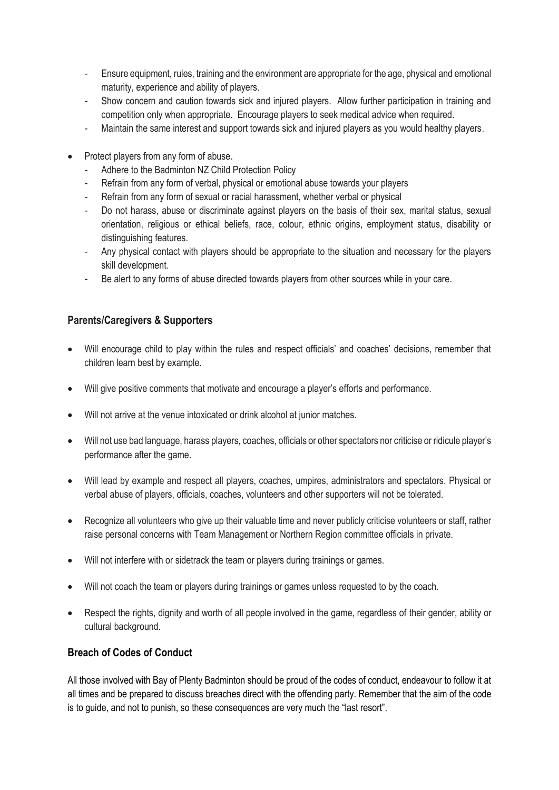- Ensure equipment, rules, training and the environment are appropriate for the age, physical and emotional maturity, experience and ability of players.
- Show concern and caution towards sick and injured players. Allow further participation in training and competition only when appropriate. Encourage players to seek medical advice when required.
- Maintain the same interest and support towards sick and injured players as you would healthy players.
- Protect players from any form of abuse.
	- Adhere to the Badminton NZ Child Protection Policy
	- Refrain from any form of verbal, physical or emotional abuse towards your players
	- Refrain from any form of sexual or racial harassment, whether verbal or physical
	- Do not harass, abuse or discriminate against players on the basis of their sex, marital status, sexual orientation, religious or ethical beliefs, race, colour, ethnic origins, employment status, disability or distinguishing features.
	- Any physical contact with players should be appropriate to the situation and necessary for the players skill development.
	- Be alert to any forms of abuse directed towards players from other sources while in your care.

### **Parents/Caregivers & Supporters**

- Will encourage child to play within the rules and respect officials' and coaches' decisions, remember that children learn best by example.
- Will give positive comments that motivate and encourage a player's efforts and performance.
- Will not arrive at the venue intoxicated or drink alcohol at junior matches.
- Will not use bad language, harass players, coaches, officials or other spectators nor criticise or ridicule player's performance after the game.
- Will lead by example and respect all players, coaches, umpires, administrators and spectators. Physical or verbal abuse of players, officials, coaches, volunteers and other supporters will not be tolerated.
- Recognize all volunteers who give up their valuable time and never publicly criticise volunteers or staff, rather raise personal concerns with Team Management or Northern Region committee officials in private.
- Will not interfere with or sidetrack the team or players during trainings or games.
- Will not coach the team or players during trainings or games unless requested to by the coach.
- Respect the rights, dignity and worth of all people involved in the game, regardless of their gender, ability or cultural background.

### **Breach of Codes of Conduct**

All those involved with Bay of Plenty Badminton should be proud of the codes of conduct, endeavour to follow it at all times and be prepared to discuss breaches direct with the offending party. Remember that the aim of the code is to guide, and not to punish, so these consequences are very much the "last resort".